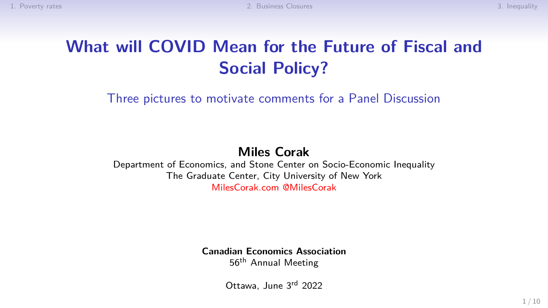# **What will COVID Mean for the Future of Fiscal and Social Policy?**

Three pictures to motivate comments for a Panel Discussion

### **Miles Corak**

Department of Economics, and Stone Center on Socio-Economic Inequality The Graduate Center, City University of New York [MilesCorak.com](https://milescorak.com) [@MilesCorak](https://twitter.com/milescorak)

> **Canadian Economics Association** 56<sup>th</sup> Annual Meeting

> > Ottawa, June 3rd 2022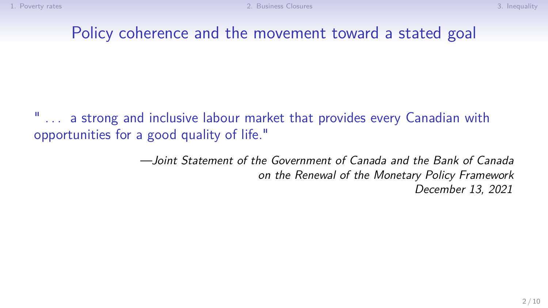## Policy coherence and the movement toward a stated goal

... a strong and inclusive labour market that provides every Canadian with opportunities for a good quality of life."

> —Joint Statement of the Government of Canada and the Bank of Canada on the Renewal of the Monetary Policy Framework December 13, 2021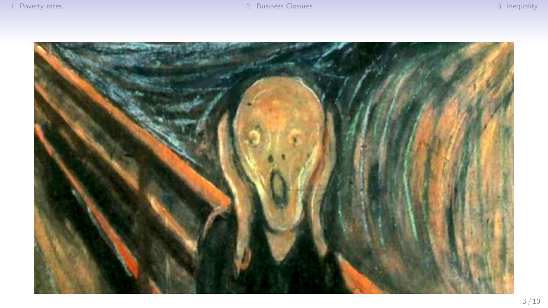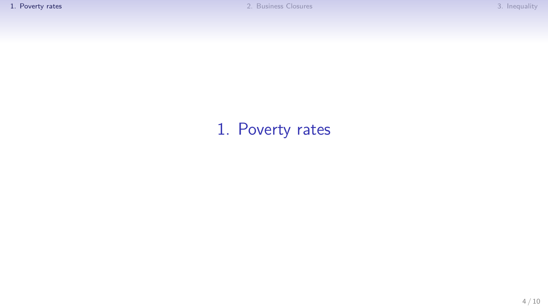# <span id="page-3-0"></span>[1. Poverty rates](#page-3-0)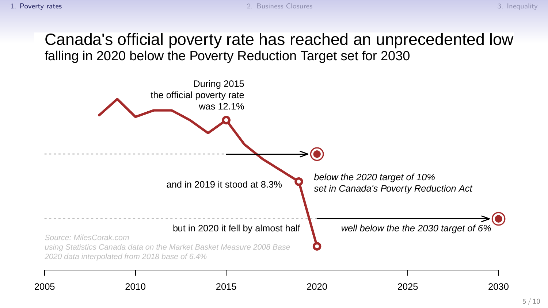## Canada's official poverty rate has reached an unprecedented low falling in 2020 below the Poverty Reduction Target set for 2030

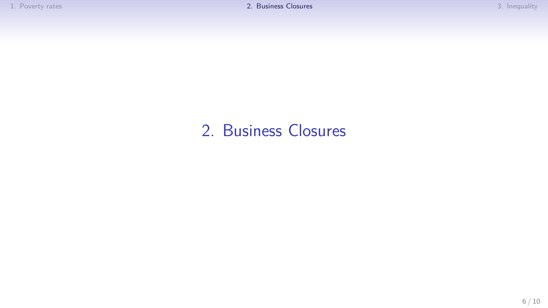## <span id="page-5-0"></span>[2. Business Closures](#page-5-0)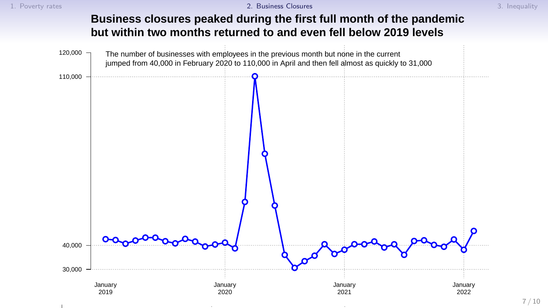### **Business closures peaked during the first full month of the pandemic but within two months returned to and even fell below 2019 levels**

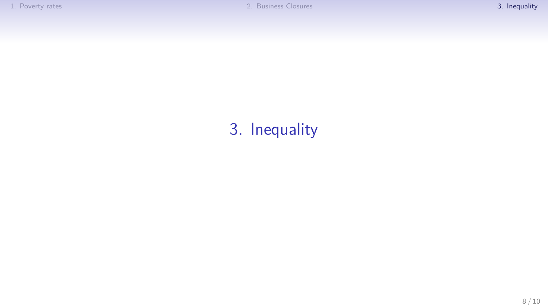# <span id="page-7-0"></span>[3. Inequality](#page-7-0)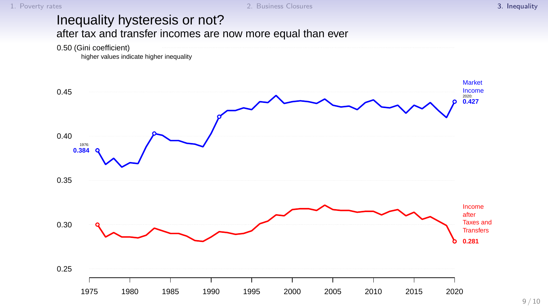#### Inequality hysteresis or not? after tax and transfer incomes are now more equal than ever



higher values indicate higher inequality